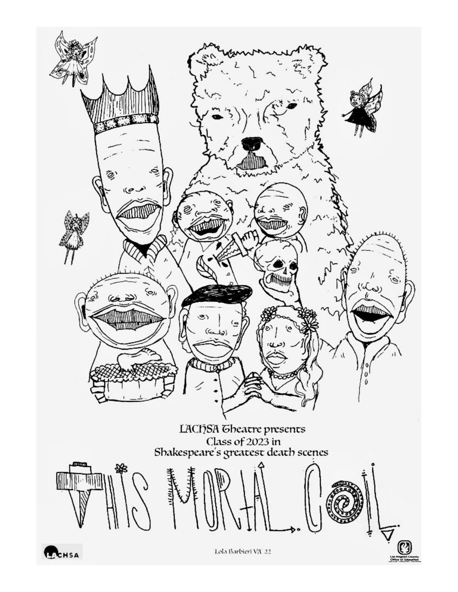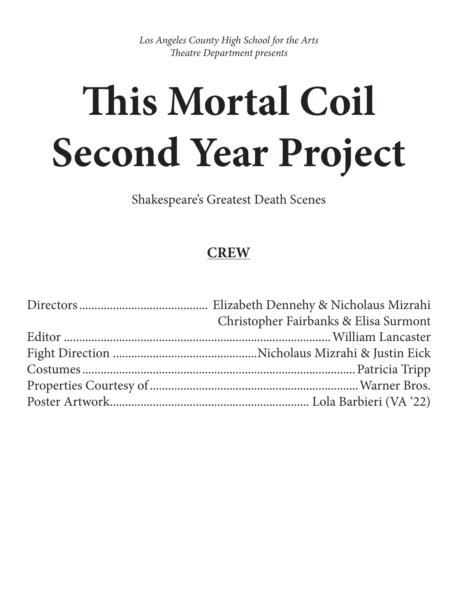*Los Angeles County High School for the Arts Theatre Department presents* 

# **This Mortal Coil Second Year Project**

Shakespeare's Greatest Death Scenes

## **CREW**

| Christopher Fairbanks & Elisa Surmont |
|---------------------------------------|
|                                       |
|                                       |
|                                       |
|                                       |
|                                       |
|                                       |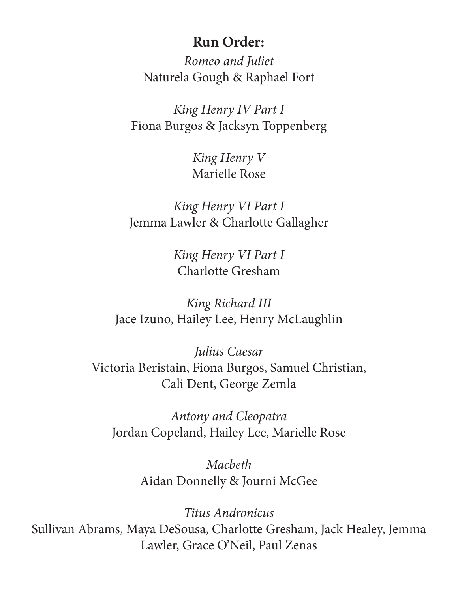## **Run Order:**

*Romeo and Juliet* Naturela Gough & Raphael Fort

*King Henry IV Part I* Fiona Burgos & Jacksyn Toppenberg

> *King Henry V* Marielle Rose

*King Henry VI Part I* Jemma Lawler & Charlotte Gallagher

> *King Henry VI Part I*  Charlotte Gresham

*King Richard III* Jace Izuno, Hailey Lee, Henry McLaughlin

*Julius Caesar* Victoria Beristain, Fiona Burgos, Samuel Christian, Cali Dent, George Zemla

*Antony and Cleopatra*  Jordan Copeland, Hailey Lee, Marielle Rose

> *Macbeth* Aidan Donnelly & Journi McGee

*Titus Andronicus* Sullivan Abrams, Maya DeSousa, Charlotte Gresham, Jack Healey, Jemma Lawler, Grace O'Neil, Paul Zenas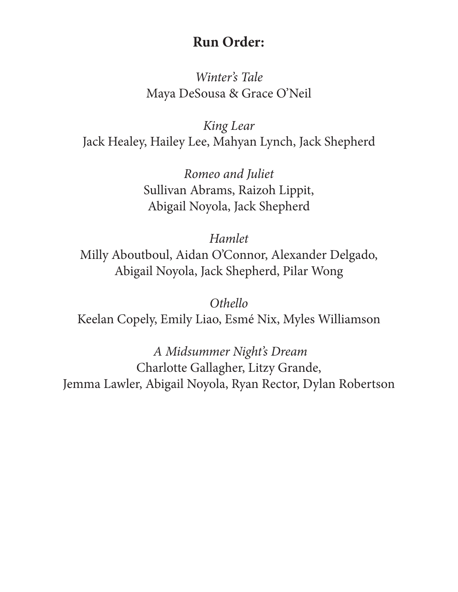## **Run Order:**

*Winter's Tale* Maya DeSousa & Grace O'Neil

*King Lear*  Jack Healey, Hailey Lee, Mahyan Lynch, Jack Shepherd

> *Romeo and Juliet* Sullivan Abrams, Raizoh Lippit, Abigail Noyola, Jack Shepherd

*Hamlet* Milly Aboutboul, Aidan O'Connor, Alexander Delgado, Abigail Noyola, Jack Shepherd, Pilar Wong

*Othello*  Keelan Copely, Emily Liao, Esmé Nix, Myles Williamson

 *A Midsummer Night's Dream* Charlotte Gallagher, Litzy Grande, Jemma Lawler, Abigail Noyola, Ryan Rector, Dylan Robertson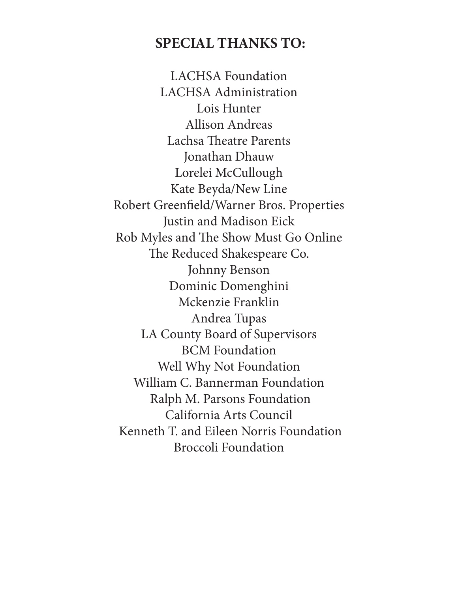## **SPECIAL THANKS TO:**

LACHSA Foundation LACHSA Administration Lois Hunter Allison Andreas Lachsa Theatre Parents Jonathan Dhauw Lorelei McCullough Kate Beyda/New Line Robert Greenfield/Warner Bros. Properties Justin and Madison Eick Rob Myles and The Show Must Go Online The Reduced Shakespeare Co. Johnny Benson Dominic Domenghini Mckenzie Franklin Andrea Tupas LA County Board of Supervisors BCM Foundation Well Why Not Foundation William C. Bannerman Foundation Ralph M. Parsons Foundation California Arts Council Kenneth T. and Eileen Norris Foundation Broccoli Foundation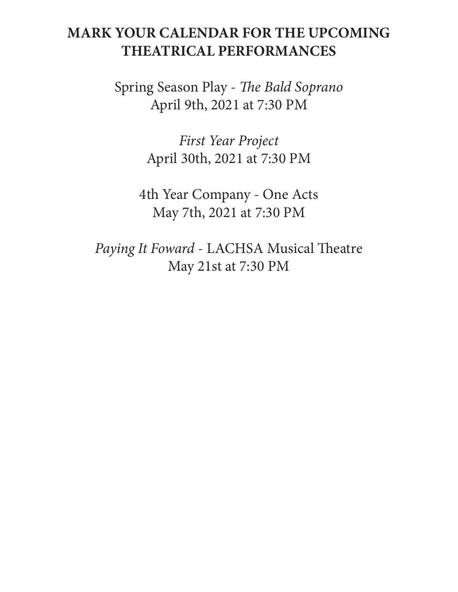## **MARK YOUR CALENDAR FOR THE UPCOMING THEATRICAL PERFORMANCES**

Spring Season Play - *The Bald Soprano* April 9th, 2021 at 7:30 PM

> *First Year Project* April 30th, 2021 at 7:30 PM

4th Year Company - One Acts May 7th, 2021 at 7:30 PM

*Paying It Foward* - LACHSA Musical Theatre May 21st at 7:30 PM